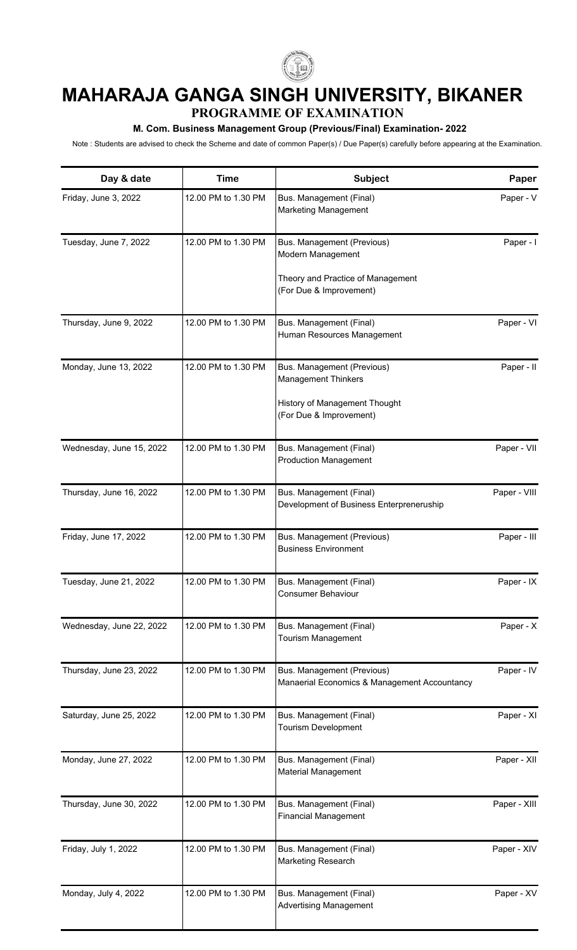

## **MAHARAJA GANGA SINGH UNIVERSITY, BIKANER PROGRAMME OF EXAMINATION**

## **M. Com. Business Management Group (Previous/Final) Examination- 2022**

Note : Students are advised to check the Scheme and date of common Paper(s) / Due Paper(s) carefully before appearing at the Examination.

| Day & date               | <b>Time</b>         | Subject                                                                    | Paper        |
|--------------------------|---------------------|----------------------------------------------------------------------------|--------------|
| Friday, June 3, 2022     | 12.00 PM to 1.30 PM | Bus. Management (Final)<br><b>Marketing Management</b>                     | Paper - V    |
| Tuesday, June 7, 2022    | 12.00 PM to 1.30 PM | Bus. Management (Previous)<br>Modern Management                            | Paper - I    |
|                          |                     | Theory and Practice of Management<br>(For Due & Improvement)               |              |
| Thursday, June 9, 2022   | 12.00 PM to 1.30 PM | Bus. Management (Final)<br>Human Resources Management                      | Paper - VI   |
| Monday, June 13, 2022    | 12.00 PM to 1.30 PM | Bus. Management (Previous)<br>Management Thinkers                          | Paper - II   |
|                          |                     | History of Management Thought<br>(For Due & Improvement)                   |              |
| Wednesday, June 15, 2022 | 12.00 PM to 1.30 PM | Bus. Management (Final)<br><b>Production Management</b>                    | Paper - VII  |
| Thursday, June 16, 2022  | 12.00 PM to 1.30 PM | Bus. Management (Final)<br>Development of Business Enterpreneruship        | Paper - VIII |
| Friday, June 17, 2022    | 12.00 PM to 1.30 PM | Bus. Management (Previous)<br><b>Business Environment</b>                  | Paper - III  |
| Tuesday, June 21, 2022   | 12.00 PM to 1.30 PM | Bus. Management (Final)<br><b>Consumer Behaviour</b>                       | Paper - IX   |
| Wednesday, June 22, 2022 | 12.00 PM to 1.30 PM | Bus. Management (Final)<br><b>Tourism Management</b>                       | Paper - X    |
| Thursday, June 23, 2022  | 12.00 PM to 1.30 PM | Bus. Management (Previous)<br>Manaerial Economics & Management Accountancy | Paper - IV   |
| Saturday, June 25, 2022  | 12.00 PM to 1.30 PM | Bus. Management (Final)<br><b>Tourism Development</b>                      | Paper - XI   |
| Monday, June 27, 2022    | 12.00 PM to 1.30 PM | Bus. Management (Final)<br>Material Management                             | Paper - XII  |
| Thursday, June 30, 2022  | 12.00 PM to 1.30 PM | Bus. Management (Final)<br><b>Financial Management</b>                     | Paper - XIII |
| Friday, July 1, 2022     | 12.00 PM to 1.30 PM | Bus. Management (Final)<br>Marketing Research                              | Paper - XIV  |
| Monday, July 4, 2022     | 12.00 PM to 1.30 PM | Bus. Management (Final)<br><b>Advertising Management</b>                   | Paper - XV   |